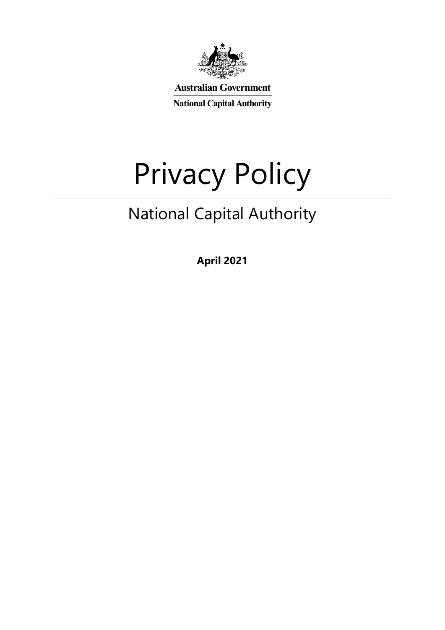

**Australian Government** 

**National Capital Authority** 

# Privacy Policy

# National Capital Authority

**April 2021**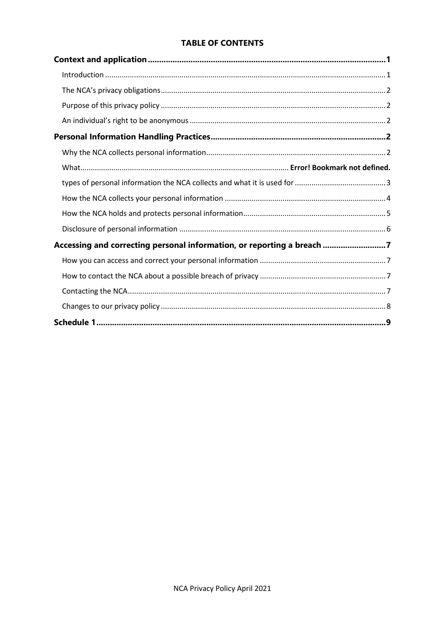#### **TABLE OF CONTENTS**

| Accessing and correcting personal information, or reporting a breach 7 |  |
|------------------------------------------------------------------------|--|
|                                                                        |  |
|                                                                        |  |
|                                                                        |  |
|                                                                        |  |
|                                                                        |  |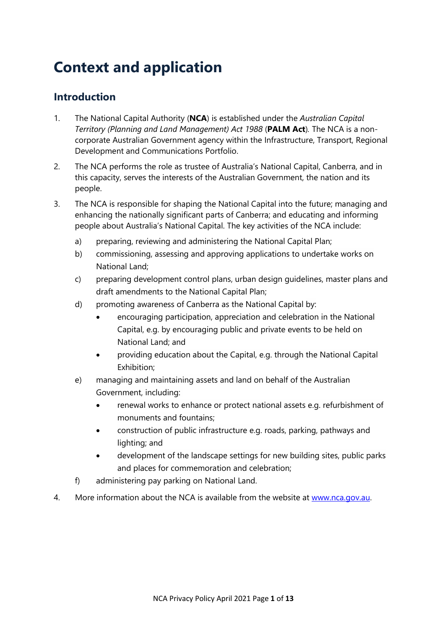# <span id="page-2-0"></span>**Context and application**

## <span id="page-2-1"></span>**Introduction**

- 1. The National Capital Authority (**NCA**) is established under the *Australian Capital Territory (Planning and Land Management) Act 1988* (**PALM Act**)*.* The NCA is a noncorporate Australian Government agency within the Infrastructure, Transport, Regional Development and Communications Portfolio.
- 2. The NCA performs the role as trustee of Australia's National Capital, Canberra, and in this capacity, serves the interests of the Australian Government, the nation and its people.
- 3. The NCA is responsible for shaping the National Capital into the future; managing and enhancing the nationally significant parts of Canberra; and educating and informing people about Australia's National Capital. The key activities of the NCA include:
	- a) preparing, reviewing and administering the National Capital Plan;
	- b) commissioning, assessing and approving applications to undertake works on National Land;
	- c) preparing development control plans, urban design guidelines, master plans and draft amendments to the National Capital Plan;
	- d) promoting awareness of Canberra as the National Capital by:
		- encouraging participation, appreciation and celebration in the National Capital, e.g. by encouraging public and private events to be held on National Land; and
		- providing education about the Capital, e.g. through the National Capital Exhibition;
	- e) managing and maintaining assets and land on behalf of the Australian Government, including:
		- renewal works to enhance or protect national assets e.g. refurbishment of monuments and fountains;
		- construction of public infrastructure e.g. roads, parking, pathways and lighting; and
		- development of the landscape settings for new building sites, public parks and places for commemoration and celebration;
	- f) administering pay parking on National Land.
- <span id="page-2-2"></span>4. More information about the NCA is available from the website at [www.nca.gov.au.](http://www.nca.gov.au/)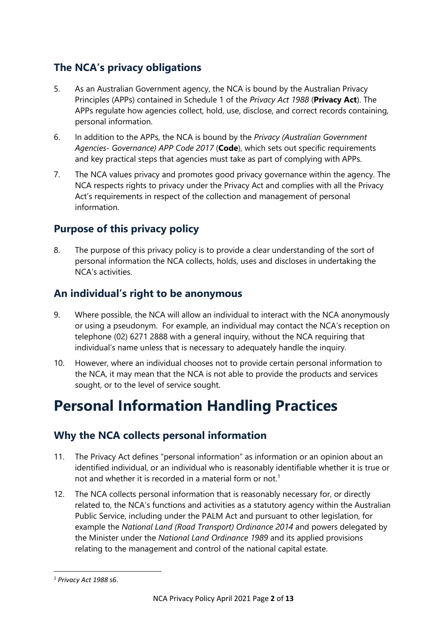# **The NCA's privacy obligations**

- 5. As an Australian Government agency, the NCA is bound by the Australian Privacy Principles (APPs) contained in Schedule 1 of the *Privacy Act 1988* (**Privacy Act**). The APPs regulate how agencies collect, hold, use, disclose, and correct records containing, personal information.
- 6. In addition to the APPs, the NCA is bound by the *Privacy (Australian Government Agencies- Governance) APP Code 2017* (**Code**), which sets out specific requirements and key practical steps that agencies must take as part of complying with APPs.
- 7. The NCA values privacy and promotes good privacy governance within the agency. The NCA respects rights to privacy under the Privacy Act and complies with all the Privacy Act's requirements in respect of the collection and management of personal information.

# <span id="page-3-0"></span>**Purpose of this privacy policy**

8. The purpose of this privacy policy is to provide a clear understanding of the sort of personal information the NCA collects, holds, uses and discloses in undertaking the NCA's activities.

# <span id="page-3-1"></span>**An individual's right to be anonymous**

- 9. Where possible, the NCA will allow an individual to interact with the NCA anonymously or using a pseudonym. For example, an individual may contact the NCA's reception on telephone (02) 6271 2888 with a general inquiry, without the NCA requiring that individual's name unless that is necessary to adequately handle the inquiry.
- 10. However, where an individual chooses not to provide certain personal information to the NCA, it may mean that the NCA is not able to provide the products and services sought, or to the level of service sought.

# <span id="page-3-2"></span>**Personal Information Handling Practices**

# <span id="page-3-3"></span>**Why the NCA collects personal information**

- 11. The Privacy Act defines "personal information" as information or an opinion about an identified individual, or an individual who is reasonably identifiable whether it is true or not and whether it is recorded in a material form or not.<sup>[1](#page-3-4)</sup>
- 12. The NCA collects personal information that is reasonably necessary for, or directly related to, the NCA's functions and activities as a statutory agency within the Australian Public Service, including under the PALM Act and pursuant to other legislation, for example the *National Land (Road Transport) Ordinance 2014* and powers delegated by the Minister under the *National Land Ordinance 1989* and its applied provisions relating to the management and control of the national capital estate.

<span id="page-3-4"></span> <sup>1</sup> *Privacy Act 1988* s6.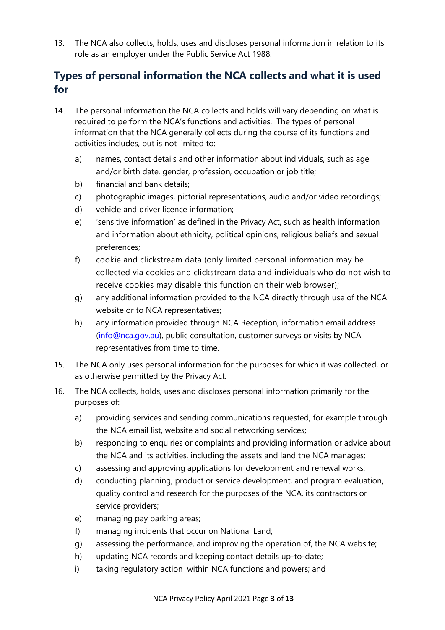13. The NCA also collects, holds, uses and discloses personal information in relation to its role as an employer under the Public Service Act 1988.

# <span id="page-4-0"></span>**Types of personal information the NCA collects and what it is used for**

- 14. The personal information the NCA collects and holds will vary depending on what is required to perform the NCA's functions and activities. The types of personal information that the NCA generally collects during the course of its functions and activities includes, but is not limited to:
	- a) names, contact details and other information about individuals, such as age and/or birth date, gender, profession, occupation or job title;
	- b) financial and bank details;
	- c) photographic images, pictorial representations, audio and/or video recordings;
	- d) vehicle and driver licence information;
	- e) 'sensitive information' as defined in the Privacy Act, such as health information and information about ethnicity, political opinions, religious beliefs and sexual preferences;
	- f) cookie and clickstream data (only limited personal information may be collected via cookies and clickstream data and individuals who do not wish to receive cookies may disable this function on their web browser);
	- g) any additional information provided to the NCA directly through use of the NCA website or to NCA representatives;
	- h) any information provided through NCA Reception, information email address [\(info@nca.gov.au\)](mailto:info@nca.gov.au), public consultation, customer surveys or visits by NCA representatives from time to time.
- 15. The NCA only uses personal information for the purposes for which it was collected, or as otherwise permitted by the Privacy Act.
- 16. The NCA collects, holds, uses and discloses personal information primarily for the purposes of:
	- a) providing services and sending communications requested, for example through the NCA email list, website and social networking services;
	- b) responding to enquiries or complaints and providing information or advice about the NCA and its activities, including the assets and land the NCA manages;
	- c) assessing and approving applications for development and renewal works;
	- d) conducting planning, product or service development, and program evaluation, quality control and research for the purposes of the NCA, its contractors or service providers;
	- e) managing pay parking areas;
	- f) managing incidents that occur on National Land;
	- g) assessing the performance, and improving the operation of, the NCA website;
	- h) updating NCA records and keeping contact details up-to-date;
	- i) taking regulatory action within NCA functions and powers; and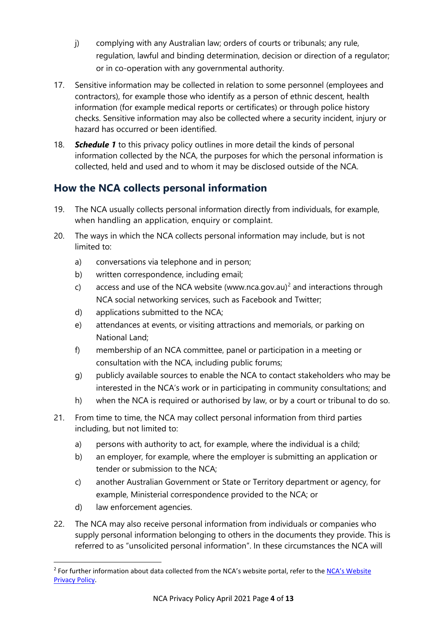- j) complying with any Australian law; orders of courts or tribunals; any rule, regulation, lawful and binding determination, decision or direction of a regulator; or in co-operation with any governmental authority.
- 17. Sensitive information may be collected in relation to some personnel (employees and contractors), for example those who identify as a person of ethnic descent, health information (for example medical reports or certificates) or through police history checks. Sensitive information may also be collected where a security incident, injury or hazard has occurred or been identified.
- <span id="page-5-0"></span>18. *Schedule 1* to this privacy policy outlines in more detail the kinds of personal information collected by the NCA, the purposes for which the personal information is collected, held and used and to whom it may be disclosed outside of the NCA.

# **How the NCA collects personal information**

- 19. The NCA usually collects personal information directly from individuals, for example, when handling an application, enquiry or complaint.
- 20. The ways in which the NCA collects personal information may include, but is not limited to:
	- a) conversations via telephone and in person;
	- b) written correspondence, including email;
	- c) access and use of the NCA website [\(www.nca.gov.au\)](http://www.nca.gov.au/)<sup>[2](#page-5-1)</sup> and interactions through NCA social networking services, such as Facebook and Twitter;
	- d) applications submitted to the NCA;
	- e) attendances at events, or visiting attractions and memorials, or parking on National Land;
	- f) membership of an NCA committee, panel or participation in a meeting or consultation with the NCA, including public forums;
	- g) publicly available sources to enable the NCA to contact stakeholders who may be interested in the NCA's work or in participating in community consultations; and
	- h) when the NCA is required or authorised by law, or by a court or tribunal to do so.
- 21. From time to time, the NCA may collect personal information from third parties including, but not limited to:
	- a) persons with authority to act, for example, where the individual is a child;
	- b) an employer, for example, where the employer is submitting an application or tender or submission to the NCA;
	- c) another Australian Government or State or Territory department or agency, for example, Ministerial correspondence provided to the NCA; or
	- d) law enforcement agencies.
- 22. The NCA may also receive personal information from individuals or companies who supply personal information belonging to others in the documents they provide. This is referred to as "unsolicited personal information". In these circumstances the NCA will

<span id="page-5-1"></span><sup>&</sup>lt;sup>2</sup> For further information about data collected from the NCA's website portal, refer to the NCA's Website [Privacy Policy.](https://www.nca.gov.au/about-the-NCA/corporate-documents/our-policies/website-privacy-policy)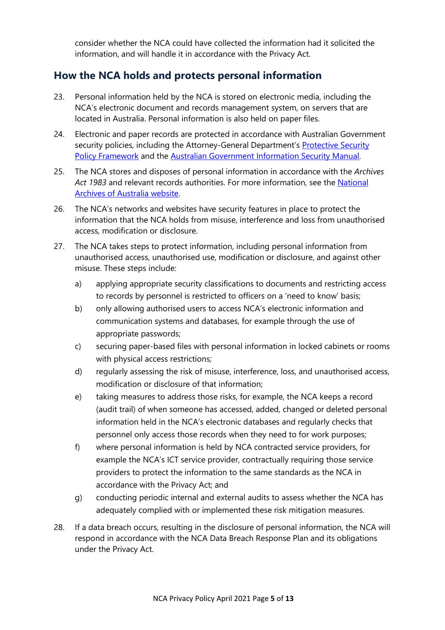<span id="page-6-0"></span>consider whether the NCA could have collected the information had it solicited the information, and will handle it in accordance with the Privacy Act.

## **How the NCA holds and protects personal information**

- 23. Personal information held by the NCA is stored on electronic media, including the NCA's electronic document and records management system, on servers that are located in Australia. Personal information is also held on paper files.
- 24. Electronic and paper records are protected in accordance with Australian Government security policies, including the Attorney-General Department's Protective Security [Policy Framework](https://www.protectivesecurity.gov.au/) and the [Australian Government Information Security Manual.](https://www.cyber.gov.au/acsc/view-all-content/ism)
- 25. The NCA stores and disposes of personal information in accordance with the *Archives Act 1983* and relevant records authorities. For more information, see the [National](http://www.naa.gov.au/)  [Archives of Australia website.](http://www.naa.gov.au/)
- 26. The NCA's networks and websites have security features in place to protect the information that the NCA holds from misuse, interference and loss from unauthorised access, modification or disclosure.
- 27. The NCA takes steps to protect information, including personal information from unauthorised access, unauthorised use, modification or disclosure, and against other misuse. These steps include:
	- a) applying appropriate security classifications to documents and restricting access to records by personnel is restricted to officers on a 'need to know' basis;
	- b) only allowing authorised users to access NCA's electronic information and communication systems and databases, for example through the use of appropriate passwords;
	- c) securing paper-based files with personal information in locked cabinets or rooms with physical access restrictions;
	- d) regularly assessing the risk of misuse, interference, loss, and unauthorised access, modification or disclosure of that information;
	- e) taking measures to address those risks, for example, the NCA keeps a record (audit trail) of when someone has accessed, added, changed or deleted personal information held in the NCA's electronic databases and regularly checks that personnel only access those records when they need to for work purposes;
	- f) where personal information is held by NCA contracted service providers, for example the NCA's ICT service provider, contractually requiring those service providers to protect the information to the same standards as the NCA in accordance with the Privacy Act; and
	- g) conducting periodic internal and external audits to assess whether the NCA has adequately complied with or implemented these risk mitigation measures.
- <span id="page-6-1"></span>28. If a data breach occurs, resulting in the disclosure of personal information, the NCA will respond in accordance with the NCA Data Breach Response Plan and its obligations under the Privacy Act.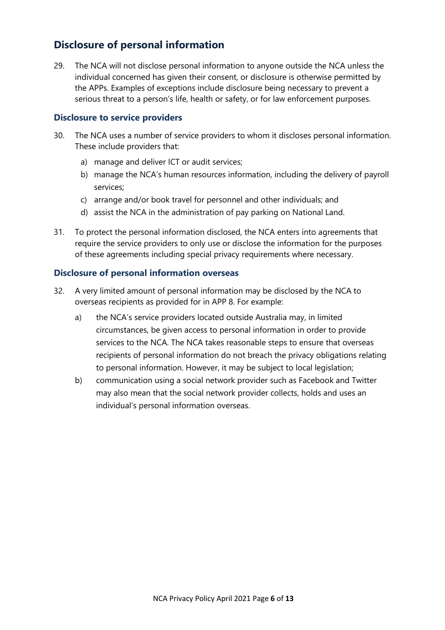# **Disclosure of personal information**

29. The NCA will not disclose personal information to anyone outside the NCA unless the individual concerned has given their consent, or disclosure is otherwise permitted by the APPs. Examples of exceptions include disclosure being necessary to prevent a serious threat to a person's life, health or safety, or for law enforcement purposes.

#### **Disclosure to service providers**

- 30. The NCA uses a number of service providers to whom it discloses personal information. These include providers that:
	- a) manage and deliver ICT or audit services;
	- b) manage the NCA's human resources information, including the delivery of payroll services;
	- c) arrange and/or book travel for personnel and other individuals; and
	- d) assist the NCA in the administration of pay parking on National Land.
- 31. To protect the personal information disclosed, the NCA enters into agreements that require the service providers to only use or disclose the information for the purposes of these agreements including special privacy requirements where necessary.

#### **Disclosure of personal information overseas**

- 32. A very limited amount of personal information may be disclosed by the NCA to overseas recipients as provided for in APP 8. For example:
	- a) the NCA's service providers located outside Australia may, in limited circumstances, be given access to personal information in order to provide services to the NCA. The NCA takes reasonable steps to ensure that overseas recipients of personal information do not breach the privacy obligations relating to personal information. However, it may be subject to local legislation;
	- b) communication using a social network provider such as Facebook and Twitter may also mean that the social network provider collects, holds and uses an individual's personal information overseas.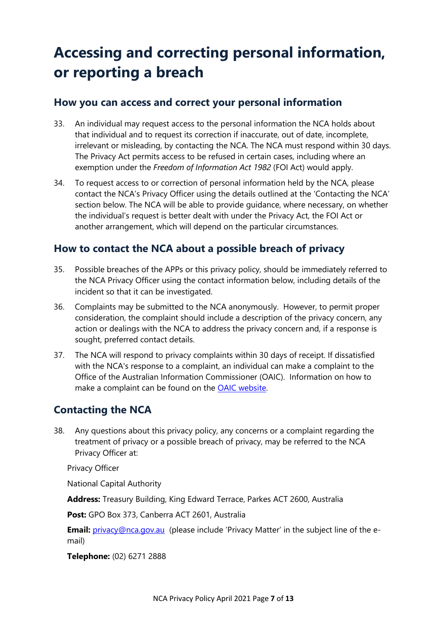# <span id="page-8-0"></span>**Accessing and correcting personal information, or reporting a breach**

## <span id="page-8-1"></span>**How you can access and correct your personal information**

- 33. An individual may request access to the personal information the NCA holds about that individual and to request its correction if inaccurate, out of date, incomplete, irrelevant or misleading, by contacting the NCA. The NCA must respond within 30 days. The Privacy Act permits access to be refused in certain cases, including where an exemption under the *Freedom of Information Act 1982* (FOI Act) would apply.
- 34. To request access to or correction of personal information held by the NCA, please contact the NCA's Privacy Officer using the details outlined at the 'Contacting the NCA' section below. The NCA will be able to provide guidance, where necessary, on whether the individual's request is better dealt with under the Privacy Act, the FOI Act or another arrangement, which will depend on the particular circumstances.

## <span id="page-8-2"></span>**How to contact the NCA about a possible breach of privacy**

- 35. Possible breaches of the APPs or this privacy policy, should be immediately referred to the NCA Privacy Officer using the contact information below, including details of the incident so that it can be investigated.
- 36. Complaints may be submitted to the NCA anonymously. However, to permit proper consideration, the complaint should include a description of the privacy concern, any action or dealings with the NCA to address the privacy concern and, if a response is sought, preferred contact details.
- 37. The NCA will respond to privacy complaints within 30 days of receipt. If dissatisfied with the NCA's response to a complaint, an individual can make a complaint to the Office of the Australian Information Commissioner (OAIC). Information on how to make a complaint can be found on the **OAIC** website.

# <span id="page-8-3"></span>**Contacting the NCA**

38. Any questions about this privacy policy, any concerns or a complaint regarding the treatment of privacy or a possible breach of privacy, may be referred to the NCA Privacy Officer at:

Privacy Officer

National Capital Authority

**Address:** Treasury Building, King Edward Terrace, Parkes ACT 2600, Australia

**Post:** GPO Box 373, Canberra ACT 2601, Australia

**Email:** [privacy@nca.gov.au](mailto:privacy@nca.gov.au) (please include 'Privacy Matter' in the subject line of the email)

**Telephone:** (02) 6271 2888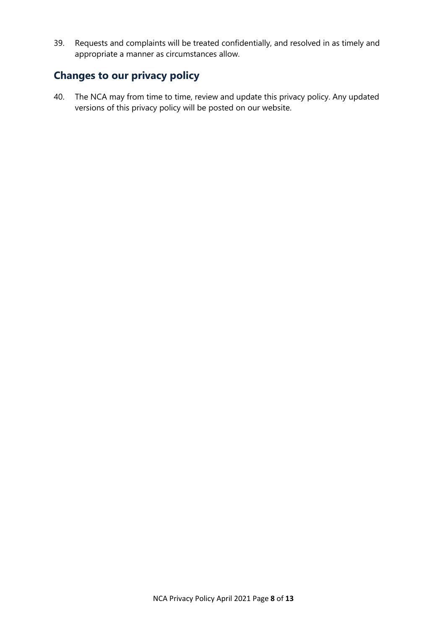39. Requests and complaints will be treated confidentially, and resolved in as timely and appropriate a manner as circumstances allow.

## <span id="page-9-0"></span>**Changes to our privacy policy**

40. The NCA may from time to time, review and update this privacy policy. Any updated versions of this privacy policy will be posted on our website.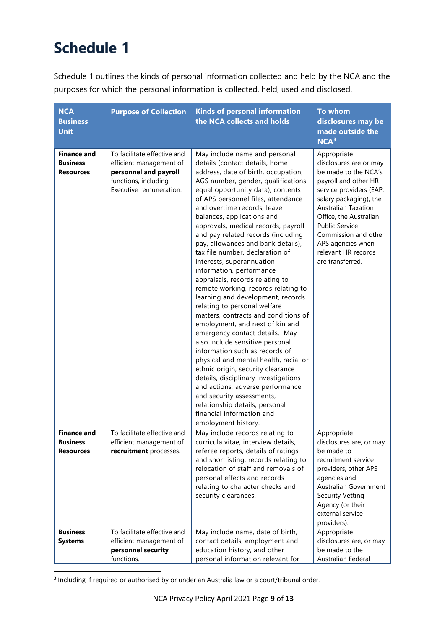# <span id="page-10-0"></span>**Schedule 1**

Schedule 1 outlines the kinds of personal information collected and held by the NCA and the purposes for which the personal information is collected, held, used and disclosed.

| <b>NCA</b><br><b>Business</b><br><b>Unit</b>              | <b>Purpose of Collection</b>                                                                                                       | <b>Kinds of personal information</b><br>the NCA collects and holds                                                                                                                                                                                                                                                                                                                                                                                                                                                                                                                                                                                                                                                                                                                                                                                                                                                                                                                                                                                                                                                 | To whom<br>disclosures may be<br>made outside the<br>NCA <sup>3</sup>                                                                                                                                                                                                                                               |
|-----------------------------------------------------------|------------------------------------------------------------------------------------------------------------------------------------|--------------------------------------------------------------------------------------------------------------------------------------------------------------------------------------------------------------------------------------------------------------------------------------------------------------------------------------------------------------------------------------------------------------------------------------------------------------------------------------------------------------------------------------------------------------------------------------------------------------------------------------------------------------------------------------------------------------------------------------------------------------------------------------------------------------------------------------------------------------------------------------------------------------------------------------------------------------------------------------------------------------------------------------------------------------------------------------------------------------------|---------------------------------------------------------------------------------------------------------------------------------------------------------------------------------------------------------------------------------------------------------------------------------------------------------------------|
| <b>Finance and</b><br><b>Business</b><br><b>Resources</b> | To facilitate effective and<br>efficient management of<br>personnel and payroll<br>functions, including<br>Executive remuneration. | May include name and personal<br>details (contact details, home<br>address, date of birth, occupation,<br>AGS number, gender, qualifications,<br>equal opportunity data), contents<br>of APS personnel files, attendance<br>and overtime records, leave<br>balances, applications and<br>approvals, medical records, payroll<br>and pay related records (including<br>pay, allowances and bank details),<br>tax file number, declaration of<br>interests, superannuation<br>information, performance<br>appraisals, records relating to<br>remote working, records relating to<br>learning and development, records<br>relating to personal welfare<br>matters, contracts and conditions of<br>employment, and next of kin and<br>emergency contact details. May<br>also include sensitive personal<br>information such as records of<br>physical and mental health, racial or<br>ethnic origin, security clearance<br>details, disciplinary investigations<br>and actions, adverse performance<br>and security assessments,<br>relationship details, personal<br>financial information and<br>employment history. | Appropriate<br>disclosures are or may<br>be made to the NCA's<br>payroll and other HR<br>service providers (EAP,<br>salary packaging), the<br><b>Australian Taxation</b><br>Office, the Australian<br><b>Public Service</b><br>Commission and other<br>APS agencies when<br>relevant HR records<br>are transferred. |
| <b>Finance and</b><br><b>Business</b><br><b>Resources</b> | To facilitate effective and<br>efficient management of<br>recruitment processes.                                                   | May include records relating to<br>curricula vitae, interview details,<br>referee reports, details of ratings<br>and shortlisting, records relating to<br>relocation of staff and removals of<br>personal effects and records<br>relating to character checks and<br>security clearances.                                                                                                                                                                                                                                                                                                                                                                                                                                                                                                                                                                                                                                                                                                                                                                                                                          | Appropriate<br>disclosures are, or may<br>be made to<br>recruitment service<br>providers, other APS<br>agencies and<br>Australian Government<br><b>Security Vetting</b><br>Agency (or their<br>external service<br>providers).                                                                                      |
| <b>Business</b><br><b>Systems</b>                         | To facilitate effective and<br>efficient management of<br>personnel security<br>functions.                                         | May include name, date of birth,<br>contact details, employment and<br>education history, and other<br>personal information relevant for                                                                                                                                                                                                                                                                                                                                                                                                                                                                                                                                                                                                                                                                                                                                                                                                                                                                                                                                                                           | Appropriate<br>disclosures are, or may<br>be made to the<br>Australian Federal                                                                                                                                                                                                                                      |

<span id="page-10-1"></span><sup>&</sup>lt;sup>3</sup> Including if required or authorised by or under an Australia law or a court/tribunal order.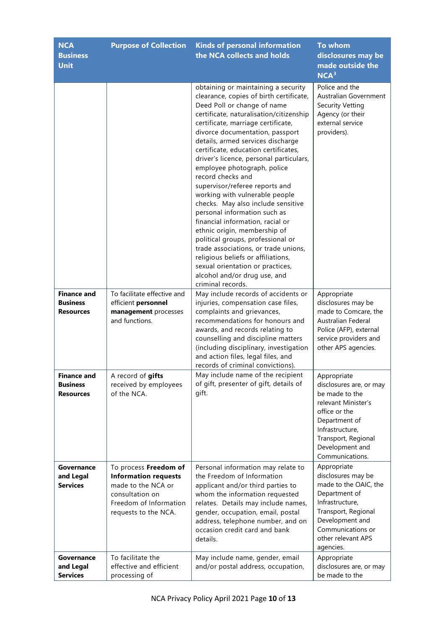| <b>NCA</b><br><b>Business</b><br><b>Unit</b>              | <b>Purpose of Collection</b>                                                                                                                    | <b>Kinds of personal information</b><br>the NCA collects and holds                                                                                                                                                                                                                                                                                                                                                                                                                                                                                                                                                                                                                                                                                                                                                                      | <b>To whom</b><br>disclosures may be<br>made outside the<br>NCA <sup>3</sup>                                                                                                                      |
|-----------------------------------------------------------|-------------------------------------------------------------------------------------------------------------------------------------------------|-----------------------------------------------------------------------------------------------------------------------------------------------------------------------------------------------------------------------------------------------------------------------------------------------------------------------------------------------------------------------------------------------------------------------------------------------------------------------------------------------------------------------------------------------------------------------------------------------------------------------------------------------------------------------------------------------------------------------------------------------------------------------------------------------------------------------------------------|---------------------------------------------------------------------------------------------------------------------------------------------------------------------------------------------------|
|                                                           |                                                                                                                                                 | obtaining or maintaining a security<br>clearance, copies of birth certificate,<br>Deed Poll or change of name<br>certificate, naturalisation/citizenship<br>certificate, marriage certificate,<br>divorce documentation, passport<br>details, armed services discharge<br>certificate, education certificates,<br>driver's licence, personal particulars,<br>employee photograph, police<br>record checks and<br>supervisor/referee reports and<br>working with vulnerable people<br>checks. May also include sensitive<br>personal information such as<br>financial information, racial or<br>ethnic origin, membership of<br>political groups, professional or<br>trade associations, or trade unions,<br>religious beliefs or affiliations,<br>sexual orientation or practices,<br>alcohol and/or drug use, and<br>criminal records. | Police and the<br>Australian Government<br><b>Security Vetting</b><br>Agency (or their<br>external service<br>providers).                                                                         |
| <b>Finance and</b><br><b>Business</b><br><b>Resources</b> | To facilitate effective and<br>efficient personnel<br>management processes<br>and functions.                                                    | May include records of accidents or<br>injuries, compensation case files,<br>complaints and grievances,<br>recommendations for honours and<br>awards, and records relating to<br>counselling and discipline matters<br>(including disciplinary, investigation<br>and action files, legal files, and<br>records of criminal convictions).                                                                                                                                                                                                                                                                                                                                                                                                                                                                                                | Appropriate<br>disclosures may be<br>made to Comcare, the<br><b>Australian Federal</b><br>Police (AFP), external<br>service providers and<br>other APS agencies.                                  |
| <b>Finance and</b><br><b>Business</b><br><b>Resources</b> | A record of gifts<br>received by employees<br>of the NCA.                                                                                       | May include name of the recipient<br>of gift, presenter of gift, details of<br>gift.                                                                                                                                                                                                                                                                                                                                                                                                                                                                                                                                                                                                                                                                                                                                                    | Appropriate<br>disclosures are, or may<br>be made to the<br>relevant Minister's<br>office or the<br>Department of<br>Infrastructure,<br>Transport, Regional<br>Development and<br>Communications. |
| Governance<br>and Legal<br><b>Services</b>                | To process Freedom of<br><b>Information requests</b><br>made to the NCA or<br>consultation on<br>Freedom of Information<br>requests to the NCA. | Personal information may relate to<br>the Freedom of Information<br>applicant and/or third parties to<br>whom the information requested<br>relates. Details may include names,<br>gender, occupation, email, postal<br>address, telephone number, and on<br>occasion credit card and bank<br>details.                                                                                                                                                                                                                                                                                                                                                                                                                                                                                                                                   | Appropriate<br>disclosures may be<br>made to the OAIC, the<br>Department of<br>Infrastructure,<br>Transport, Regional<br>Development and<br>Communications or<br>other relevant APS<br>agencies.  |
| Governance<br>and Legal<br><b>Services</b>                | To facilitate the<br>effective and efficient<br>processing of                                                                                   | May include name, gender, email<br>and/or postal address, occupation,                                                                                                                                                                                                                                                                                                                                                                                                                                                                                                                                                                                                                                                                                                                                                                   | Appropriate<br>disclosures are, or may<br>be made to the                                                                                                                                          |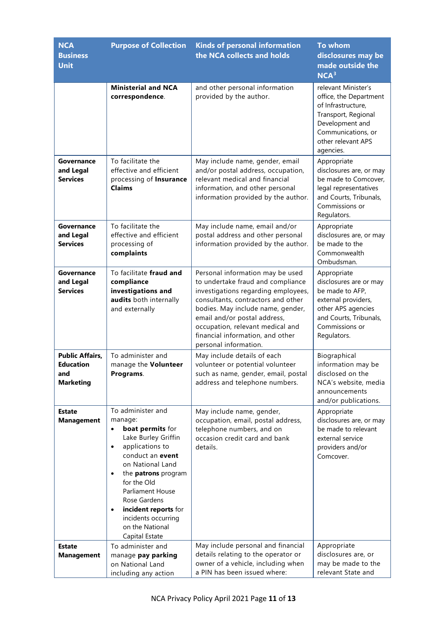| <b>NCA</b><br><b>Business</b><br><b>Unit</b>                          | <b>Purpose of Collection</b>                                                                                                                                                                                                                                                                                                                                       | <b>Kinds of personal information</b><br>the NCA collects and holds                                                                                                                                                                                                                                                       | To whom<br>disclosures may be<br>made outside the<br>NCA <sup>3</sup>                                                                                                  |
|-----------------------------------------------------------------------|--------------------------------------------------------------------------------------------------------------------------------------------------------------------------------------------------------------------------------------------------------------------------------------------------------------------------------------------------------------------|--------------------------------------------------------------------------------------------------------------------------------------------------------------------------------------------------------------------------------------------------------------------------------------------------------------------------|------------------------------------------------------------------------------------------------------------------------------------------------------------------------|
|                                                                       | <b>Ministerial and NCA</b><br>correspondence.                                                                                                                                                                                                                                                                                                                      | and other personal information<br>provided by the author.                                                                                                                                                                                                                                                                | relevant Minister's<br>office, the Department<br>of Infrastructure,<br>Transport, Regional<br>Development and<br>Communications, or<br>other relevant APS<br>agencies. |
| Governance<br>and Legal<br><b>Services</b>                            | To facilitate the<br>effective and efficient<br>processing of Insurance<br><b>Claims</b>                                                                                                                                                                                                                                                                           | May include name, gender, email<br>and/or postal address, occupation,<br>relevant medical and financial<br>information, and other personal<br>information provided by the author.                                                                                                                                        | Appropriate<br>disclosures are, or may<br>be made to Comcover,<br>legal representatives<br>and Courts, Tribunals,<br>Commissions or<br>Regulators.                     |
| Governance<br>and Legal<br><b>Services</b>                            | To facilitate the<br>effective and efficient<br>processing of<br>complaints                                                                                                                                                                                                                                                                                        | May include name, email and/or<br>postal address and other personal<br>information provided by the author.                                                                                                                                                                                                               | Appropriate<br>disclosures are, or may<br>be made to the<br>Commonwealth<br>Ombudsman.                                                                                 |
| Governance<br>and Legal<br><b>Services</b>                            | To facilitate fraud and<br>compliance<br>investigations and<br>audits both internally<br>and externally                                                                                                                                                                                                                                                            | Personal information may be used<br>to undertake fraud and compliance<br>investigations regarding employees,<br>consultants, contractors and other<br>bodies. May include name, gender,<br>email and/or postal address,<br>occupation, relevant medical and<br>financial information, and other<br>personal information. | Appropriate<br>disclosures are or may<br>be made to AFP,<br>external providers,<br>other APS agencies<br>and Courts, Tribunals,<br>Commissions or<br>Regulators.       |
| <b>Public Affairs,</b><br><b>Education</b><br>and<br><b>Marketing</b> | To administer and<br>manage the Volunteer<br>Programs.                                                                                                                                                                                                                                                                                                             | May include details of each<br>volunteer or potential volunteer<br>such as name, gender, email, postal<br>address and telephone numbers.                                                                                                                                                                                 | Biographical<br>information may be<br>disclosed on the<br>NCA's website, media<br>announcements<br>and/or publications.                                                |
| <b>Estate</b><br><b>Management</b>                                    | To administer and<br>manage:<br>boat permits for<br>$\bullet$<br>Lake Burley Griffin<br>applications to<br>$\bullet$<br>conduct an event<br>on National Land<br>the <b>patrons</b> program<br>$\bullet$<br>for the Old<br><b>Parliament House</b><br>Rose Gardens<br>incident reports for<br>$\bullet$<br>incidents occurring<br>on the National<br>Capital Estate | May include name, gender,<br>occupation, email, postal address,<br>telephone numbers, and on<br>occasion credit card and bank<br>details.                                                                                                                                                                                | Appropriate<br>disclosures are, or may<br>be made to relevant<br>external service<br>providers and/or<br>Comcover.                                                     |
| <b>Estate</b><br><b>Management</b>                                    | To administer and<br>manage pay parking<br>on National Land<br>including any action                                                                                                                                                                                                                                                                                | May include personal and financial<br>details relating to the operator or<br>owner of a vehicle, including when<br>a PIN has been issued where:                                                                                                                                                                          | Appropriate<br>disclosures are, or<br>may be made to the<br>relevant State and                                                                                         |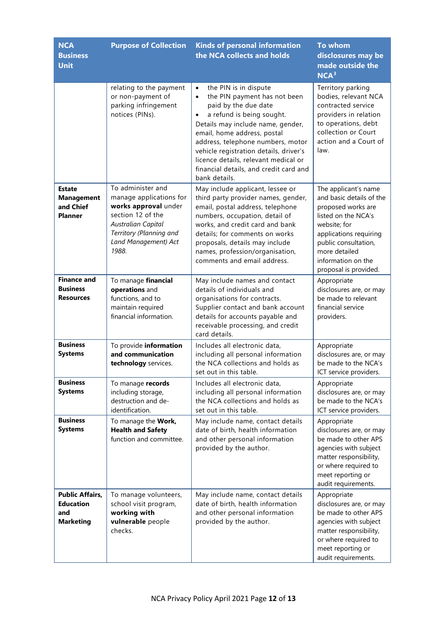| <b>NCA</b><br><b>Business</b><br><b>Unit</b>                          | <b>Purpose of Collection</b>                                                                                                                                                       | <b>Kinds of personal information</b><br>the NCA collects and holds                                                                                                                                                                                                                                                                                                                         | <b>To whom</b><br>disclosures may be<br>made outside the<br>NCA <sup>3</sup>                                                                                                                                                    |
|-----------------------------------------------------------------------|------------------------------------------------------------------------------------------------------------------------------------------------------------------------------------|--------------------------------------------------------------------------------------------------------------------------------------------------------------------------------------------------------------------------------------------------------------------------------------------------------------------------------------------------------------------------------------------|---------------------------------------------------------------------------------------------------------------------------------------------------------------------------------------------------------------------------------|
|                                                                       | relating to the payment<br>or non-payment of<br>parking infringement<br>notices (PINs).                                                                                            | the PIN is in dispute<br>$\bullet$<br>the PIN payment has not been<br>$\bullet$<br>paid by the due date<br>a refund is being sought.<br>Details may include name, gender,<br>email, home address, postal<br>address, telephone numbers, motor<br>vehicle registration details, driver's<br>licence details, relevant medical or<br>financial details, and credit card and<br>bank details. | Territory parking<br>bodies, relevant NCA<br>contracted service<br>providers in relation<br>to operations, debt<br>collection or Court<br>action and a Court of<br>law.                                                         |
| <b>Estate</b><br><b>Management</b><br>and Chief<br><b>Planner</b>     | To administer and<br>manage applications for<br>works approval under<br>section 12 of the<br><b>Australian Capital</b><br>Territory (Planning and<br>Land Management) Act<br>1988. | May include applicant, lessee or<br>third party provider names, gender,<br>email, postal address, telephone<br>numbers, occupation, detail of<br>works, and credit card and bank<br>details; for comments on works<br>proposals, details may include<br>names, profession/organisation,<br>comments and email address.                                                                     | The applicant's name<br>and basic details of the<br>proposed works are<br>listed on the NCA's<br>website; for<br>applications requiring<br>public consultation,<br>more detailed<br>information on the<br>proposal is provided. |
| <b>Finance and</b><br><b>Business</b><br><b>Resources</b>             | To manage financial<br>operations and<br>functions, and to<br>maintain required<br>financial information.                                                                          | May include names and contact<br>details of individuals and<br>organisations for contracts.<br>Supplier contact and bank account<br>details for accounts payable and<br>receivable processing, and credit<br>card details.                                                                                                                                                                 | Appropriate<br>disclosures are, or may<br>be made to relevant<br>financial service<br>providers.                                                                                                                                |
| <b>Business</b><br><b>Systems</b>                                     | To provide information<br>and communication<br>technology services.                                                                                                                | Includes all electronic data,<br>including all personal information<br>the NCA collections and holds as<br>set out in this table.                                                                                                                                                                                                                                                          | Appropriate<br>disclosures are, or may<br>be made to the NCA's<br>ICT service providers.                                                                                                                                        |
| <b>Business</b><br><b>Systems</b>                                     | To manage records<br>including storage,<br>destruction and de-<br>identification.                                                                                                  | Includes all electronic data,<br>including all personal information<br>the NCA collections and holds as<br>set out in this table.                                                                                                                                                                                                                                                          | Appropriate<br>disclosures are, or may<br>be made to the NCA's<br>ICT service providers.                                                                                                                                        |
| <b>Business</b><br><b>Systems</b>                                     | To manage the Work,<br><b>Health and Safety</b><br>function and committee.                                                                                                         | May include name, contact details<br>date of birth, health information<br>and other personal information<br>provided by the author.                                                                                                                                                                                                                                                        | Appropriate<br>disclosures are, or may<br>be made to other APS<br>agencies with subject<br>matter responsibility,<br>or where required to<br>meet reporting or<br>audit requirements.                                           |
| <b>Public Affairs,</b><br><b>Education</b><br>and<br><b>Marketing</b> | To manage volunteers,<br>school visit program,<br>working with<br>vulnerable people<br>checks.                                                                                     | May include name, contact details<br>date of birth, health information<br>and other personal information<br>provided by the author.                                                                                                                                                                                                                                                        | Appropriate<br>disclosures are, or may<br>be made to other APS<br>agencies with subject<br>matter responsibility,<br>or where required to<br>meet reporting or<br>audit requirements.                                           |